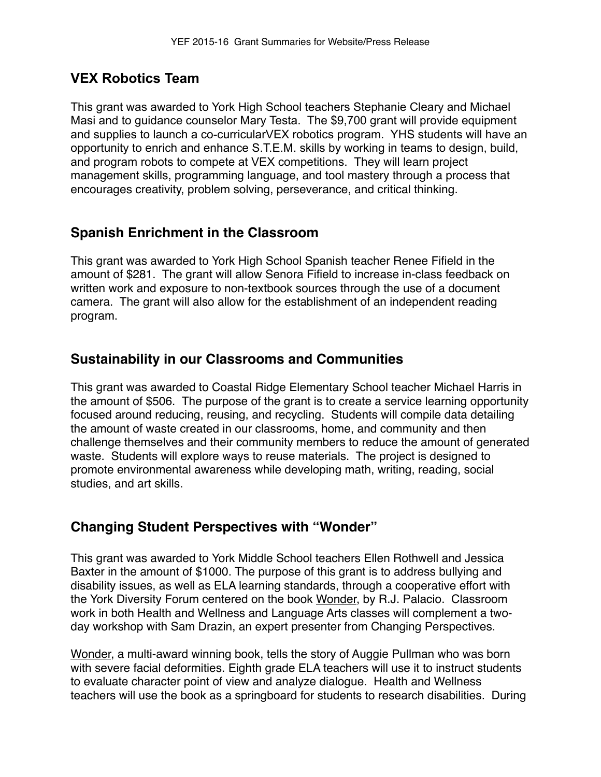# **VEX Robotics Team**

This grant was awarded to York High School teachers Stephanie Cleary and Michael Masi and to guidance counselor Mary Testa. The \$9,700 grant will provide equipment and supplies to launch a co-curricularVEX robotics program. YHS students will have an opportunity to enrich and enhance S.T.E.M. skills by working in teams to design, build, and program robots to compete at VEX competitions. They will learn project management skills, programming language, and tool mastery through a process that encourages creativity, problem solving, perseverance, and critical thinking.

## **Spanish Enrichment in the Classroom**

This grant was awarded to York High School Spanish teacher Renee Fifield in the amount of \$281. The grant will allow Senora Fifield to increase in-class feedback on written work and exposure to non-textbook sources through the use of a document camera. The grant will also allow for the establishment of an independent reading program.

## **Sustainability in our Classrooms and Communities**

This grant was awarded to Coastal Ridge Elementary School teacher Michael Harris in the amount of \$506. The purpose of the grant is to create a service learning opportunity focused around reducing, reusing, and recycling. Students will compile data detailing the amount of waste created in our classrooms, home, and community and then challenge themselves and their community members to reduce the amount of generated waste. Students will explore ways to reuse materials. The project is designed to promote environmental awareness while developing math, writing, reading, social studies, and art skills.

## **Changing Student Perspectives with "Wonder"**

This grant was awarded to York Middle School teachers Ellen Rothwell and Jessica Baxter in the amount of \$1000. The purpose of this grant is to address bullying and disability issues, as well as ELA learning standards, through a cooperative effort with the York Diversity Forum centered on the book Wonder, by R.J. Palacio. Classroom work in both Health and Wellness and Language Arts classes will complement a twoday workshop with Sam Drazin, an expert presenter from Changing Perspectives.

Wonder, a multi-award winning book, tells the story of Auggie Pullman who was born with severe facial deformities. Eighth grade ELA teachers will use it to instruct students to evaluate character point of view and analyze dialogue. Health and Wellness teachers will use the book as a springboard for students to research disabilities. During